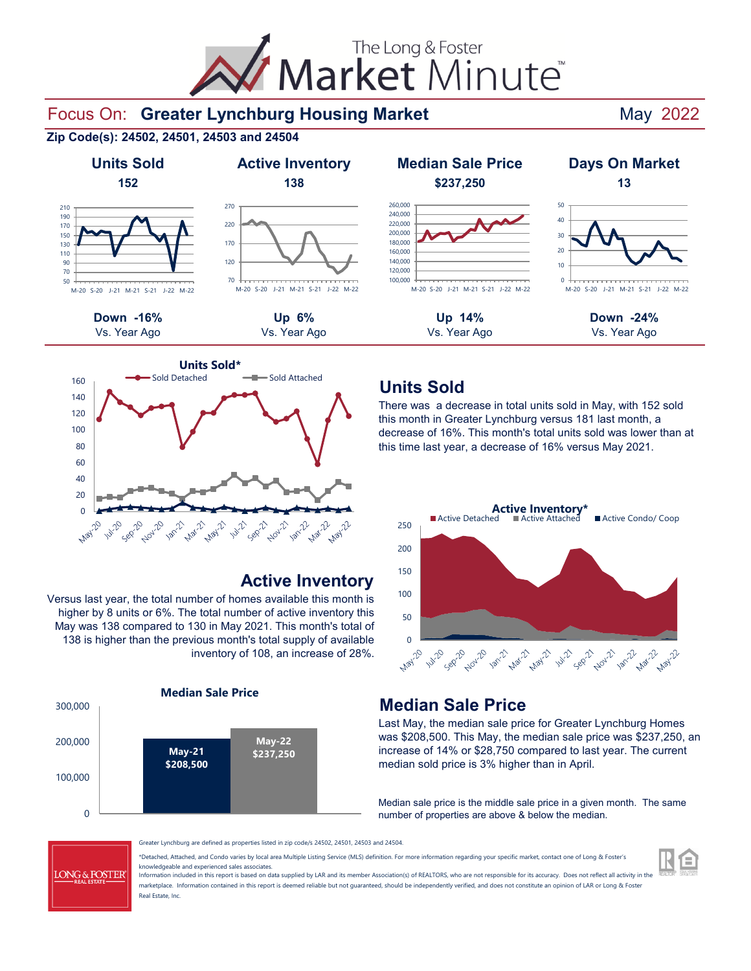Market Minute The Long & Foster

### Focus On: Greater Lynchburg Housing Market **Mandeled Market** May 2022

**Zip Code(s): 24502, 24501, 24503 and 24504**





### **Active Inventory**

Versus last year, the total number of homes available this month is higher by 8 units or 6%. The total number of active inventory this May was 138 compared to 130 in May 2021. This month's total of 138 is higher than the previous month's total supply of available inventory of 108, an increase of 28%.





# **Units Sold**

There was a decrease in total units sold in May, with 152 sold this month in Greater Lynchburg versus 181 last month, a decrease of 16%. This month's total units sold was lower than at this time last year, a decrease of 16% versus May 2021.



# **Median Sale Price**

Last May, the median sale price for Greater Lynchburg Homes was \$208,500. This May, the median sale price was \$237,250, an increase of 14% or \$28,750 compared to last year. The current median sold price is 3% higher than in April.

Median sale price is the middle sale price in a given month. The same number of properties are above & below the median.



Greater Lynchburg are defined as properties listed in zip code/s 24502, 24501, 24503 and 24504.

\*Detached, Attached, and Condo varies by local area Multiple Listing Service (MLS) definition. For more information regarding your specific market, contact one of Long & Foster's knowledgeable and experienced sales associates.

Information included in this report is based on data supplied by LAR and its member Association(s) of REALTORS, who are not responsible for its accuracy. Does not reflect all activity in the marketplace. Information contained in this report is deemed reliable but not quaranteed, should be independently verified, and does not constitute an opinion of LAR or Long & Foster Real Estate, Inc.